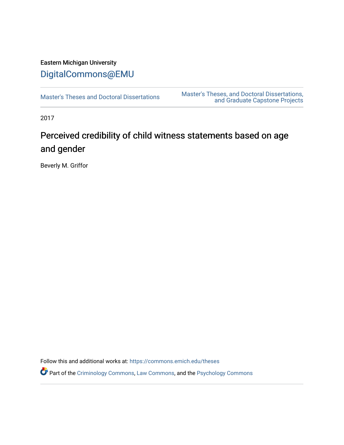# Eastern Michigan University [DigitalCommons@EMU](https://commons.emich.edu/)

[Master's Theses and Doctoral Dissertations](https://commons.emich.edu/theses) Master's Theses, and Doctoral Dissertations, [and Graduate Capstone Projects](https://commons.emich.edu/etd) 

2017

# Perceived credibility of child witness statements based on age and gender

Beverly M. Griffor

Follow this and additional works at: [https://commons.emich.edu/theses](https://commons.emich.edu/theses?utm_source=commons.emich.edu%2Ftheses%2F1143&utm_medium=PDF&utm_campaign=PDFCoverPages) 

Part of the [Criminology Commons](https://network.bepress.com/hgg/discipline/417?utm_source=commons.emich.edu%2Ftheses%2F1143&utm_medium=PDF&utm_campaign=PDFCoverPages), [Law Commons](https://network.bepress.com/hgg/discipline/578?utm_source=commons.emich.edu%2Ftheses%2F1143&utm_medium=PDF&utm_campaign=PDFCoverPages), and the [Psychology Commons](https://network.bepress.com/hgg/discipline/404?utm_source=commons.emich.edu%2Ftheses%2F1143&utm_medium=PDF&utm_campaign=PDFCoverPages)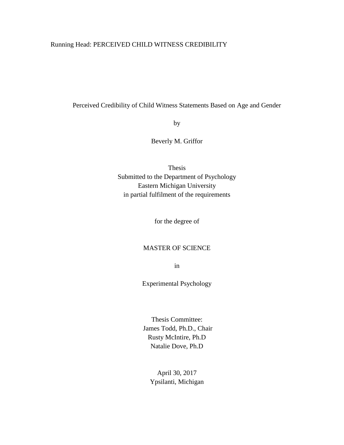# Running Head: PERCEIVED CHILD WITNESS CREDIBILITY

Perceived Credibility of Child Witness Statements Based on Age and Gender

by

Beverly M. Griffor

Thesis Submitted to the Department of Psychology Eastern Michigan University in partial fulfilment of the requirements

for the degree of

## MASTER OF SCIENCE

in

Experimental Psychology

Thesis Committee: James Todd, Ph.D., Chair Rusty McIntire, Ph.D Natalie Dove, Ph.D

> April 30, 2017 Ypsilanti, Michigan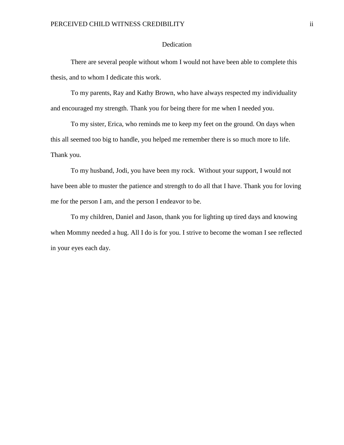# Dedication

<span id="page-2-0"></span>There are several people without whom I would not have been able to complete this thesis, and to whom I dedicate this work.

To my parents, Ray and Kathy Brown, who have always respected my individuality and encouraged my strength. Thank you for being there for me when I needed you.

To my sister, Erica, who reminds me to keep my feet on the ground. On days when this all seemed too big to handle, you helped me remember there is so much more to life. Thank you.

To my husband, Jodi, you have been my rock. Without your support, I would not have been able to muster the patience and strength to do all that I have. Thank you for loving me for the person I am, and the person I endeavor to be.

To my children, Daniel and Jason, thank you for lighting up tired days and knowing when Mommy needed a hug. All I do is for you. I strive to become the woman I see reflected in your eyes each day.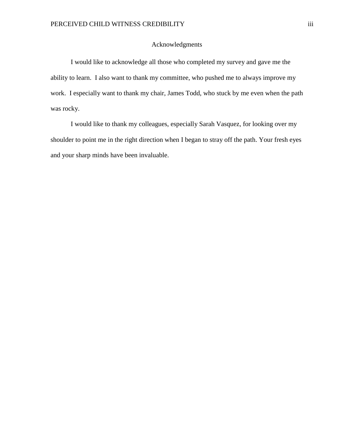# Acknowledgments

<span id="page-3-0"></span>I would like to acknowledge all those who completed my survey and gave me the ability to learn. I also want to thank my committee, who pushed me to always improve my work. I especially want to thank my chair, James Todd, who stuck by me even when the path was rocky.

I would like to thank my colleagues, especially Sarah Vasquez, for looking over my shoulder to point me in the right direction when I began to stray off the path. Your fresh eyes and your sharp minds have been invaluable.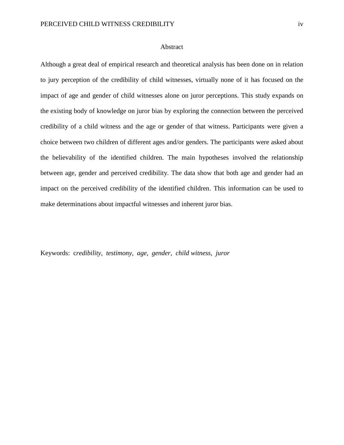#### Abstract

<span id="page-4-0"></span>Although a great deal of empirical research and theoretical analysis has been done on in relation to jury perception of the credibility of child witnesses, virtually none of it has focused on the impact of age and gender of child witnesses alone on juror perceptions. This study expands on the existing body of knowledge on juror bias by exploring the connection between the perceived credibility of a child witness and the age or gender of that witness. Participants were given a choice between two children of different ages and/or genders. The participants were asked about the believability of the identified children. The main hypotheses involved the relationship between age, gender and perceived credibility. The data show that both age and gender had an impact on the perceived credibility of the identified children. This information can be used to make determinations about impactful witnesses and inherent juror bias.

Keywords: c*redibility, testimony, age, gender, child witness, juror*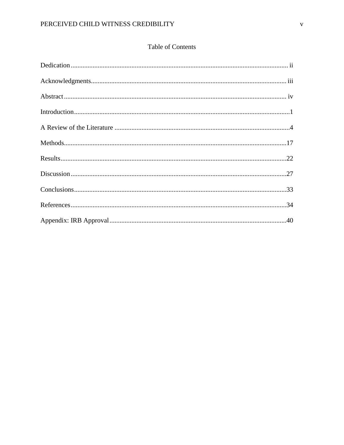# Table of Contents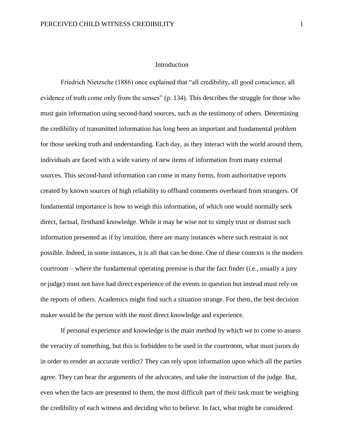#### Introduction

<span id="page-6-0"></span>Friedrich Nietzsche (1886) once explained that "all credibility, all good conscience, all evidence of truth come only from the senses" (p. 134). This describes the struggle for those who must gain information using second-hand sources, such as the testimony of others. Determining the credibility of transmitted information has long been an important and fundamental problem for those seeking truth and understanding. Each day, as they interact with the world around them, individuals are faced with a wide variety of new items of information from many external sources. This second-hand information can come in many forms, from authoritative reports created by known sources of high reliability to offhand comments overheard from strangers. Of fundamental importance is how to weigh this information, of which one would normally seek direct, factual, firsthand knowledge. While it may be wise not to simply trust or distrust such information presented as if by intuition, there are many instances where such restraint is not possible. Indeed, in some instances, it is all that can be done. One of these contexts is the modern courtroom – where the fundamental operating premise is that the fact finder (i.e., usually a jury or judge) must not have had direct experience of the events in question but instead must rely on the reports of others. Academics might find such a situation strange. For them, the best decision maker would be the person with the most direct knowledge and experience.

If personal experience and knowledge is the main method by which we to come to assess the veracity of something, but this is forbidden to be used in the courtroom, what must jurors do in order to render an accurate verdict? They can rely upon information upon which all the parties agree. They can hear the arguments of the advocates, and take the instruction of the judge. But, even when the facts are presented to them, the most difficult part of their task must be weighing the credibility of each witness and deciding who to believe. In fact, what might be considered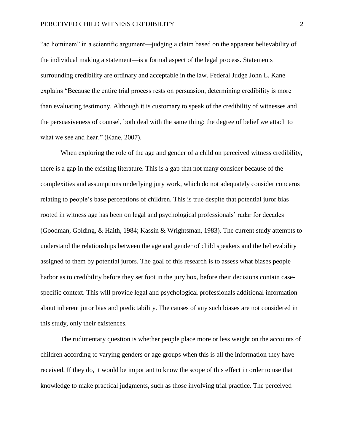"ad hominem" in a scientific argument—judging a claim based on the apparent believability of the individual making a statement—is a formal aspect of the legal process. Statements surrounding credibility are ordinary and acceptable in the law. Federal Judge John L. Kane explains "Because the entire trial process rests on persuasion, determining credibility is more than evaluating testimony. Although it is customary to speak of the credibility of witnesses and the persuasiveness of counsel, both deal with the same thing: the degree of belief we attach to what we see and hear." (Kane, 2007).

When exploring the role of the age and gender of a child on perceived witness credibility, there is a gap in the existing literature. This is a gap that not many consider because of the complexities and assumptions underlying jury work, which do not adequately consider concerns relating to people's base perceptions of children. This is true despite that potential juror bias rooted in witness age has been on legal and psychological professionals' radar for decades (Goodman, Golding, & Haith, 1984; Kassin & Wrightsman, 1983). The current study attempts to understand the relationships between the age and gender of child speakers and the believability assigned to them by potential jurors. The goal of this research is to assess what biases people harbor as to credibility before they set foot in the jury box, before their decisions contain casespecific context. This will provide legal and psychological professionals additional information about inherent juror bias and predictability. The causes of any such biases are not considered in this study, only their existences.

The rudimentary question is whether people place more or less weight on the accounts of children according to varying genders or age groups when this is all the information they have received. If they do, it would be important to know the scope of this effect in order to use that knowledge to make practical judgments, such as those involving trial practice. The perceived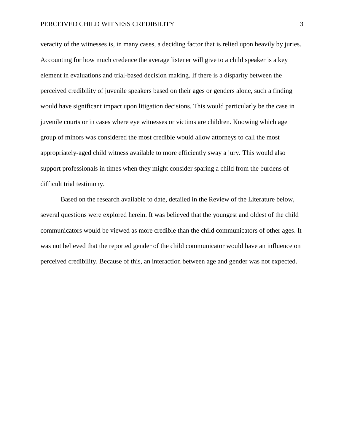veracity of the witnesses is, in many cases, a deciding factor that is relied upon heavily by juries. Accounting for how much credence the average listener will give to a child speaker is a key element in evaluations and trial-based decision making. If there is a disparity between the perceived credibility of juvenile speakers based on their ages or genders alone, such a finding would have significant impact upon litigation decisions. This would particularly be the case in juvenile courts or in cases where eye witnesses or victims are children. Knowing which age group of minors was considered the most credible would allow attorneys to call the most appropriately-aged child witness available to more efficiently sway a jury. This would also support professionals in times when they might consider sparing a child from the burdens of difficult trial testimony.

Based on the research available to date, detailed in the Review of the Literature below, several questions were explored herein. It was believed that the youngest and oldest of the child communicators would be viewed as more credible than the child communicators of other ages. It was not believed that the reported gender of the child communicator would have an influence on perceived credibility. Because of this, an interaction between age and gender was not expected.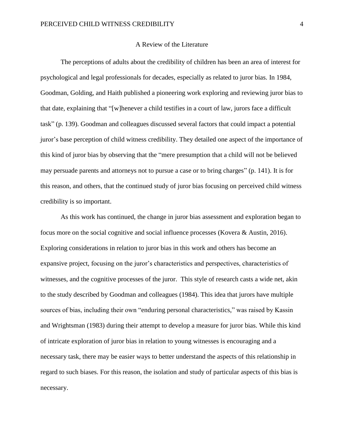#### A Review of the Literature

<span id="page-9-0"></span>The perceptions of adults about the credibility of children has been an area of interest for psychological and legal professionals for decades, especially as related to juror bias. In 1984, Goodman, Golding, and Haith published a pioneering work exploring and reviewing juror bias to that date, explaining that "[w]henever a child testifies in a court of law, jurors face a difficult task" (p. 139). Goodman and colleagues discussed several factors that could impact a potential juror's base perception of child witness credibility. They detailed one aspect of the importance of this kind of juror bias by observing that the "mere presumption that a child will not be believed may persuade parents and attorneys not to pursue a case or to bring charges" (p. 141). It is for this reason, and others, that the continued study of juror bias focusing on perceived child witness credibility is so important.

As this work has continued, the change in juror bias assessment and exploration began to focus more on the social cognitive and social influence processes (Kovera & Austin, 2016). Exploring considerations in relation to juror bias in this work and others has become an expansive project, focusing on the juror's characteristics and perspectives, characteristics of witnesses, and the cognitive processes of the juror. This style of research casts a wide net, akin to the study described by Goodman and colleagues (1984). This idea that jurors have multiple sources of bias, including their own "enduring personal characteristics," was raised by Kassin and Wrightsman (1983) during their attempt to develop a measure for juror bias. While this kind of intricate exploration of juror bias in relation to young witnesses is encouraging and a necessary task, there may be easier ways to better understand the aspects of this relationship in regard to such biases. For this reason, the isolation and study of particular aspects of this bias is necessary.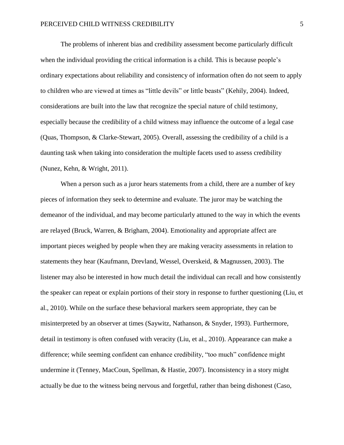The problems of inherent bias and credibility assessment become particularly difficult when the individual providing the critical information is a child. This is because people's ordinary expectations about reliability and consistency of information often do not seem to apply to children who are viewed at times as "little devils" or little beasts" (Kehily, 2004). Indeed, considerations are built into the law that recognize the special nature of child testimony, especially because the credibility of a child witness may influence the outcome of a legal case (Quas, Thompson, & Clarke-Stewart, 2005). Overall, assessing the credibility of a child is a daunting task when taking into consideration the multiple facets used to assess credibility (Nunez, Kehn, & Wright, 2011).

When a person such as a juror hears statements from a child, there are a number of key pieces of information they seek to determine and evaluate. The juror may be watching the demeanor of the individual, and may become particularly attuned to the way in which the events are relayed (Bruck, Warren, & Brigham, 2004). Emotionality and appropriate affect are important pieces weighed by people when they are making veracity assessments in relation to statements they hear (Kaufmann, Drevland, Wessel, Overskeid, & Magnussen, 2003). The listener may also be interested in how much detail the individual can recall and how consistently the speaker can repeat or explain portions of their story in response to further questioning (Liu, et al., 2010). While on the surface these behavioral markers seem appropriate, they can be misinterpreted by an observer at times (Saywitz, Nathanson, & Snyder, 1993). Furthermore, detail in testimony is often confused with veracity (Liu, et al., 2010). Appearance can make a difference; while seeming confident can enhance credibility, "too much" confidence might undermine it (Tenney, MacCoun, Spellman, & Hastie, 2007). Inconsistency in a story might actually be due to the witness being nervous and forgetful, rather than being dishonest (Caso,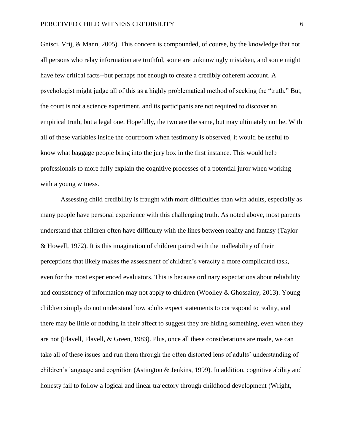Gnisci, Vrij, & Mann, 2005). This concern is compounded, of course, by the knowledge that not all persons who relay information are truthful, some are unknowingly mistaken, and some might have few critical facts--but perhaps not enough to create a credibly coherent account. A psychologist might judge all of this as a highly problematical method of seeking the "truth." But, the court is not a science experiment, and its participants are not required to discover an empirical truth, but a legal one. Hopefully, the two are the same, but may ultimately not be. With all of these variables inside the courtroom when testimony is observed, it would be useful to know what baggage people bring into the jury box in the first instance. This would help professionals to more fully explain the cognitive processes of a potential juror when working with a young witness.

Assessing child credibility is fraught with more difficulties than with adults, especially as many people have personal experience with this challenging truth. As noted above, most parents understand that children often have difficulty with the lines between reality and fantasy (Taylor & Howell, 1972). It is this imagination of children paired with the malleability of their perceptions that likely makes the assessment of children's veracity a more complicated task, even for the most experienced evaluators. This is because ordinary expectations about reliability and consistency of information may not apply to children (Woolley & Ghossainy, 2013). Young children simply do not understand how adults expect statements to correspond to reality, and there may be little or nothing in their affect to suggest they are hiding something, even when they are not (Flavell, Flavell, & Green, 1983). Plus, once all these considerations are made, we can take all of these issues and run them through the often distorted lens of adults' understanding of children's language and cognition (Astington & Jenkins, 1999). In addition, cognitive ability and honesty fail to follow a logical and linear trajectory through childhood development (Wright,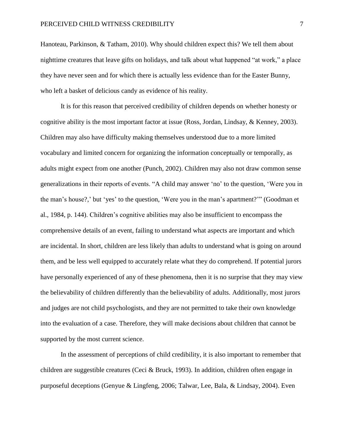Hanoteau, Parkinson, & Tatham, 2010). Why should children expect this? We tell them about nighttime creatures that leave gifts on holidays, and talk about what happened "at work," a place they have never seen and for which there is actually less evidence than for the Easter Bunny, who left a basket of delicious candy as evidence of his reality.

It is for this reason that perceived credibility of children depends on whether honesty or cognitive ability is the most important factor at issue (Ross, Jordan, Lindsay, & Kenney, 2003). Children may also have difficulty making themselves understood due to a more limited vocabulary and limited concern for organizing the information conceptually or temporally, as adults might expect from one another (Punch, 2002). Children may also not draw common sense generalizations in their reports of events. "A child may answer 'no' to the question, 'Were you in the man's house?,' but 'yes' to the question, 'Were you in the man's apartment?'" (Goodman et al., 1984, p. 144). Children's cognitive abilities may also be insufficient to encompass the comprehensive details of an event, failing to understand what aspects are important and which are incidental. In short, children are less likely than adults to understand what is going on around them, and be less well equipped to accurately relate what they do comprehend. If potential jurors have personally experienced of any of these phenomena, then it is no surprise that they may view the believability of children differently than the believability of adults. Additionally, most jurors and judges are not child psychologists, and they are not permitted to take their own knowledge into the evaluation of a case. Therefore, they will make decisions about children that cannot be supported by the most current science.

In the assessment of perceptions of child credibility, it is also important to remember that children are suggestible creatures (Ceci & Bruck, 1993). In addition, children often engage in purposeful deceptions (Genyue & Lingfeng, 2006; Talwar, Lee, Bala, & Lindsay, 2004). Even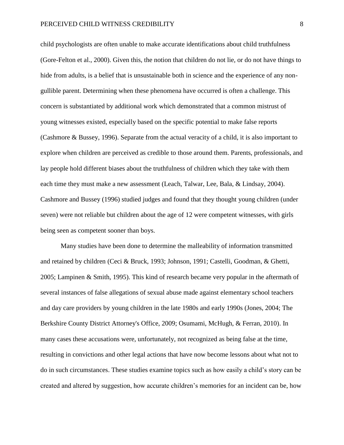child psychologists are often unable to make accurate identifications about child truthfulness (Gore-Felton et al., 2000). Given this, the notion that children do not lie, or do not have things to hide from adults, is a belief that is unsustainable both in science and the experience of any nongullible parent. Determining when these phenomena have occurred is often a challenge. This concern is substantiated by additional work which demonstrated that a common mistrust of young witnesses existed, especially based on the specific potential to make false reports (Cashmore & Bussey, 1996). Separate from the actual veracity of a child, it is also important to explore when children are perceived as credible to those around them. Parents, professionals, and lay people hold different biases about the truthfulness of children which they take with them each time they must make a new assessment (Leach, Talwar, Lee, Bala, & Lindsay, 2004). Cashmore and Bussey (1996) studied judges and found that they thought young children (under seven) were not reliable but children about the age of 12 were competent witnesses, with girls being seen as competent sooner than boys.

Many studies have been done to determine the malleability of information transmitted and retained by children (Ceci & Bruck, 1993; Johnson, 1991; Castelli, Goodman, & Ghetti, 2005; Lampinen & Smith, 1995). This kind of research became very popular in the aftermath of several instances of false allegations of sexual abuse made against elementary school teachers and day care providers by young children in the late 1980s and early 1990s (Jones, 2004; The Berkshire County District Attorney's Office, 2009; Osumami, McHugh, & Ferran, 2010). In many cases these accusations were, unfortunately, not recognized as being false at the time, resulting in convictions and other legal actions that have now become lessons about what not to do in such circumstances. These studies examine topics such as how easily a child's story can be created and altered by suggestion, how accurate children's memories for an incident can be, how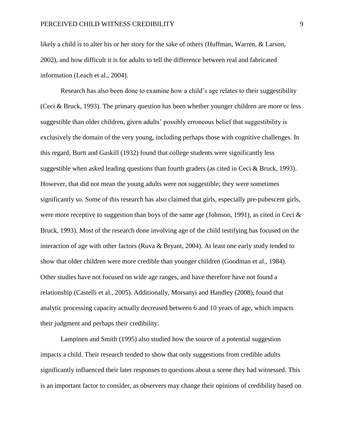likely a child is to alter his or her story for the sake of others (Huffman, Warren, & Larson, 2002), and how difficult it is for adults to tell the difference between real and fabricated information (Leach et al., 2004).

Research has also been done to examine how a child's age relates to their suggestibility (Ceci & Bruck, 1993). The primary question has been whether younger children are more or less suggestible than older children, given adults' possibly erroneous belief that suggestibility is exclusively the domain of the very young, including perhaps those with cognitive challenges. In this regard, Burtt and Gaskill (1932) found that college students were significantly less suggestible when asked leading questions than fourth graders (as cited in Ceci & Bruck, 1993). However, that did not mean the young adults were not suggestible; they were sometimes significantly so. Some of this research has also claimed that girls, especially pre-pubescent girls, were more receptive to suggestion than boys of the same age (Johnson, 1991), as cited in Ceci  $\&$ Bruck, 1993). Most of the research done involving age of the child testifying has focused on the interaction of age with other factors (Ruva & Bryant, 2004). At least one early study tended to show that older children were more credible than younger children (Goodman et al., 1984). Other studies have not focused on wide age ranges, and have therefore have not found a relationship (Castelli et al., 2005). Additionally, Morsanyi and Handley (2008), found that analytic processing capacity actually decreased between 6 and 10 years of age, which impacts their judgment and perhaps their credibility.

Lampinen and Smith (1995) also studied how the source of a potential suggestion impacts a child. Their research tended to show that only suggestions from credible adults significantly influenced their later responses to questions about a scene they had witnessed. This is an important factor to consider, as observers may change their opinions of credibility based on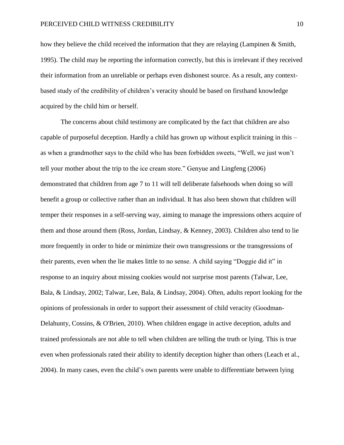how they believe the child received the information that they are relaying (Lampinen & Smith, 1995). The child may be reporting the information correctly, but this is irrelevant if they received their information from an unreliable or perhaps even dishonest source. As a result, any contextbased study of the credibility of children's veracity should be based on firsthand knowledge acquired by the child him or herself.

The concerns about child testimony are complicated by the fact that children are also capable of purposeful deception. Hardly a child has grown up without explicit training in this – as when a grandmother says to the child who has been forbidden sweets, "Well, we just won't tell your mother about the trip to the ice cream store." Genyue and Lingfeng (2006) demonstrated that children from age 7 to 11 will tell deliberate falsehoods when doing so will benefit a group or collective rather than an individual. It has also been shown that children will temper their responses in a self-serving way, aiming to manage the impressions others acquire of them and those around them (Ross, Jordan, Lindsay, & Kenney, 2003). Children also tend to lie more frequently in order to hide or minimize their own transgressions or the transgressions of their parents, even when the lie makes little to no sense. A child saying "Doggie did it" in response to an inquiry about missing cookies would not surprise most parents (Talwar, Lee, Bala, & Lindsay, 2002; Talwar, Lee, Bala, & Lindsay, 2004). Often, adults report looking for the opinions of professionals in order to support their assessment of child veracity (Goodman‐ Delahunty, Cossins, & O'Brien, 2010). When children engage in active deception, adults and trained professionals are not able to tell when children are telling the truth or lying. This is true even when professionals rated their ability to identify deception higher than others (Leach et al., 2004). In many cases, even the child's own parents were unable to differentiate between lying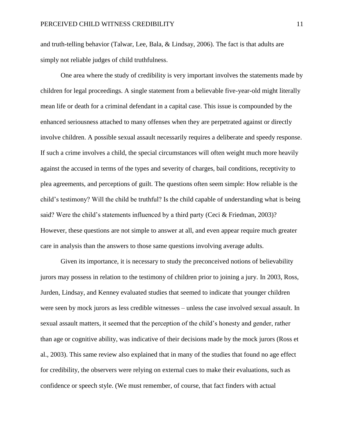and truth-telling behavior (Talwar, Lee, Bala, & Lindsay, 2006). The fact is that adults are simply not reliable judges of child truthfulness.

One area where the study of credibility is very important involves the statements made by children for legal proceedings. A single statement from a believable five-year-old might literally mean life or death for a criminal defendant in a capital case. This issue is compounded by the enhanced seriousness attached to many offenses when they are perpetrated against or directly involve children. A possible sexual assault necessarily requires a deliberate and speedy response. If such a crime involves a child, the special circumstances will often weight much more heavily against the accused in terms of the types and severity of charges, bail conditions, receptivity to plea agreements, and perceptions of guilt. The questions often seem simple: How reliable is the child's testimony? Will the child be truthful? Is the child capable of understanding what is being said? Were the child's statements influenced by a third party (Ceci & Friedman, 2003)? However, these questions are not simple to answer at all, and even appear require much greater care in analysis than the answers to those same questions involving average adults.

Given its importance, it is necessary to study the preconceived notions of believability jurors may possess in relation to the testimony of children prior to joining a jury. In 2003, Ross, Jurden, Lindsay, and Kenney evaluated studies that seemed to indicate that younger children were seen by mock jurors as less credible witnesses – unless the case involved sexual assault. In sexual assault matters, it seemed that the perception of the child's honesty and gender, rather than age or cognitive ability, was indicative of their decisions made by the mock jurors (Ross et al., 2003). This same review also explained that in many of the studies that found no age effect for credibility, the observers were relying on external cues to make their evaluations, such as confidence or speech style. (We must remember, of course, that fact finders with actual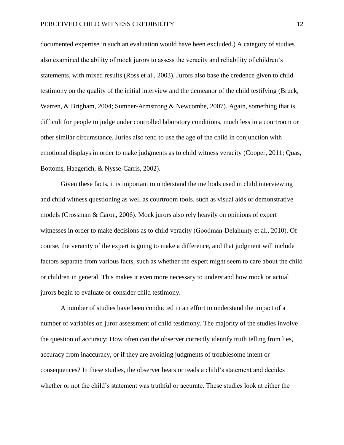documented expertise in such an evaluation would have been excluded.) A category of studies also examined the ability of mock jurors to assess the veracity and reliability of children's statements, with mixed results (Ross et al., 2003). Jurors also base the credence given to child testimony on the quality of the initial interview and the demeanor of the child testifying (Bruck, Warren, & Brigham, 2004; Sumner-Armstrong & Newcombe, 2007). Again, something that is difficult for people to judge under controlled laboratory conditions, much less in a courtroom or other similar circumstance. Juries also tend to use the age of the child in conjunction with emotional displays in order to make judgments as to child witness veracity (Cooper, 2011; Quas, Bottoms, Haegerich, & Nysse-Carris, 2002).

Given these facts, it is important to understand the methods used in child interviewing and child witness questioning as well as courtroom tools, such as visual aids or demonstrative models (Crossman & Caron, 2006). Mock jurors also rely heavily on opinions of expert witnesses in order to make decisions as to child veracity (Goodman‐Delahunty et al., 2010). Of course, the veracity of the expert is going to make a difference, and that judgment will include factors separate from various facts, such as whether the expert might seem to care about the child or children in general. This makes it even more necessary to understand how mock or actual jurors begin to evaluate or consider child testimony.

A number of studies have been conducted in an effort to understand the impact of a number of variables on juror assessment of child testimony. The majority of the studies involve the question of accuracy: How often can the observer correctly identify truth telling from lies, accuracy from inaccuracy, or if they are avoiding judgments of troublesome intent or consequences? In these studies, the observer hears or reads a child's statement and decides whether or not the child's statement was truthful or accurate. These studies look at either the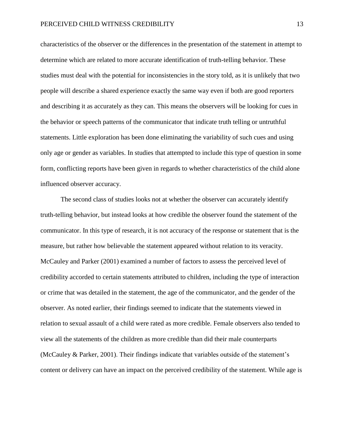characteristics of the observer or the differences in the presentation of the statement in attempt to determine which are related to more accurate identification of truth-telling behavior. These studies must deal with the potential for inconsistencies in the story told, as it is unlikely that two people will describe a shared experience exactly the same way even if both are good reporters and describing it as accurately as they can. This means the observers will be looking for cues in the behavior or speech patterns of the communicator that indicate truth telling or untruthful statements. Little exploration has been done eliminating the variability of such cues and using only age or gender as variables. In studies that attempted to include this type of question in some form, conflicting reports have been given in regards to whether characteristics of the child alone influenced observer accuracy.

The second class of studies looks not at whether the observer can accurately identify truth-telling behavior, but instead looks at how credible the observer found the statement of the communicator. In this type of research, it is not accuracy of the response or statement that is the measure, but rather how believable the statement appeared without relation to its veracity. McCauley and Parker (2001) examined a number of factors to assess the perceived level of credibility accorded to certain statements attributed to children, including the type of interaction or crime that was detailed in the statement, the age of the communicator, and the gender of the observer. As noted earlier, their findings seemed to indicate that the statements viewed in relation to sexual assault of a child were rated as more credible. Female observers also tended to view all the statements of the children as more credible than did their male counterparts (McCauley & Parker, 2001). Their findings indicate that variables outside of the statement's content or delivery can have an impact on the perceived credibility of the statement. While age is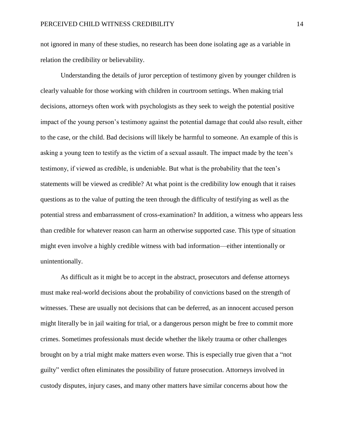not ignored in many of these studies, no research has been done isolating age as a variable in relation the credibility or believability.

Understanding the details of juror perception of testimony given by younger children is clearly valuable for those working with children in courtroom settings. When making trial decisions, attorneys often work with psychologists as they seek to weigh the potential positive impact of the young person's testimony against the potential damage that could also result, either to the case, or the child. Bad decisions will likely be harmful to someone. An example of this is asking a young teen to testify as the victim of a sexual assault. The impact made by the teen's testimony, if viewed as credible, is undeniable. But what is the probability that the teen's statements will be viewed as credible? At what point is the credibility low enough that it raises questions as to the value of putting the teen through the difficulty of testifying as well as the potential stress and embarrassment of cross-examination? In addition, a witness who appears less than credible for whatever reason can harm an otherwise supported case. This type of situation might even involve a highly credible witness with bad information—either intentionally or unintentionally.

As difficult as it might be to accept in the abstract, prosecutors and defense attorneys must make real-world decisions about the probability of convictions based on the strength of witnesses. These are usually not decisions that can be deferred, as an innocent accused person might literally be in jail waiting for trial, or a dangerous person might be free to commit more crimes. Sometimes professionals must decide whether the likely trauma or other challenges brought on by a trial might make matters even worse. This is especially true given that a "not guilty" verdict often eliminates the possibility of future prosecution. Attorneys involved in custody disputes, injury cases, and many other matters have similar concerns about how the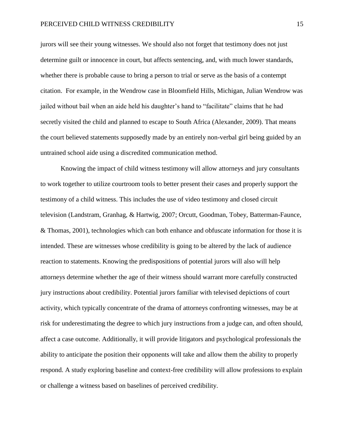jurors will see their young witnesses. We should also not forget that testimony does not just determine guilt or innocence in court, but affects sentencing, and, with much lower standards, whether there is probable cause to bring a person to trial or serve as the basis of a contempt citation. For example, in the Wendrow case in Bloomfield Hills, Michigan, Julian Wendrow was jailed without bail when an aide held his daughter's hand to "facilitate" claims that he had secretly visited the child and planned to escape to South Africa (Alexander, 2009). That means the court believed statements supposedly made by an entirely non-verbal girl being guided by an untrained school aide using a discredited communication method.

Knowing the impact of child witness testimony will allow attorneys and jury consultants to work together to utilize courtroom tools to better present their cases and properly support the testimony of a child witness. This includes the use of video testimony and closed circuit television (Landstram, Granhag, & Hartwig, 2007; Orcutt, Goodman, Tobey, Batterman-Faunce, & Thomas, 2001), technologies which can both enhance and obfuscate information for those it is intended. These are witnesses whose credibility is going to be altered by the lack of audience reaction to statements. Knowing the predispositions of potential jurors will also will help attorneys determine whether the age of their witness should warrant more carefully constructed jury instructions about credibility. Potential jurors familiar with televised depictions of court activity, which typically concentrate of the drama of attorneys confronting witnesses, may be at risk for underestimating the degree to which jury instructions from a judge can, and often should, affect a case outcome. Additionally, it will provide litigators and psychological professionals the ability to anticipate the position their opponents will take and allow them the ability to properly respond. A study exploring baseline and context-free credibility will allow professions to explain or challenge a witness based on baselines of perceived credibility.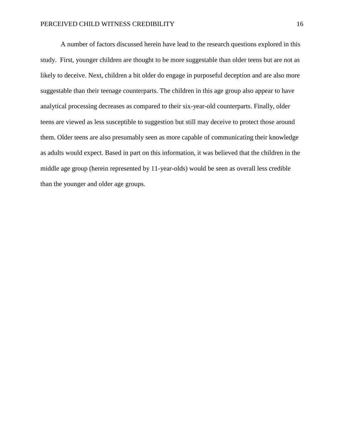A number of factors discussed herein have lead to the research questions explored in this study. First, younger children are thought to be more suggestable than older teens but are not as likely to deceive. Next, children a bit older do engage in purposeful deception and are also more suggestable than their teenage counterparts. The children in this age group also appear to have analytical processing decreases as compared to their six-year-old counterparts. Finally, older teens are viewed as less susceptible to suggestion but still may deceive to protect those around them. Older teens are also presumably seen as more capable of communicating their knowledge as adults would expect. Based in part on this information, it was believed that the children in the middle age group (herein represented by 11-year-olds) would be seen as overall less credible than the younger and older age groups.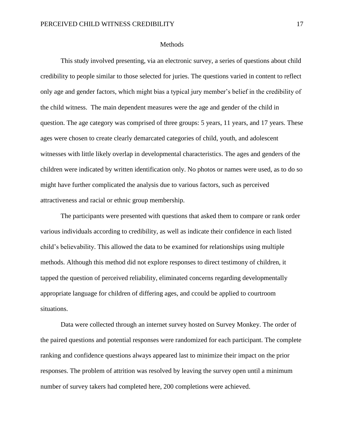#### Methods

<span id="page-22-0"></span>This study involved presenting, via an electronic survey, a series of questions about child credibility to people similar to those selected for juries. The questions varied in content to reflect only age and gender factors, which might bias a typical jury member's belief in the credibility of the child witness. The main dependent measures were the age and gender of the child in question. The age category was comprised of three groups: 5 years, 11 years, and 17 years. These ages were chosen to create clearly demarcated categories of child, youth, and adolescent witnesses with little likely overlap in developmental characteristics. The ages and genders of the children were indicated by written identification only. No photos or names were used, as to do so might have further complicated the analysis due to various factors, such as perceived attractiveness and racial or ethnic group membership.

The participants were presented with questions that asked them to compare or rank order various individuals according to credibility, as well as indicate their confidence in each listed child's believability. This allowed the data to be examined for relationships using multiple methods. Although this method did not explore responses to direct testimony of children, it tapped the question of perceived reliability, eliminated concerns regarding developmentally appropriate language for children of differing ages, and ccould be applied to courtroom situations.

Data were collected through an internet survey hosted on Survey Monkey. The order of the paired questions and potential responses were randomized for each participant. The complete ranking and confidence questions always appeared last to minimize their impact on the prior responses. The problem of attrition was resolved by leaving the survey open until a minimum number of survey takers had completed here, 200 completions were achieved.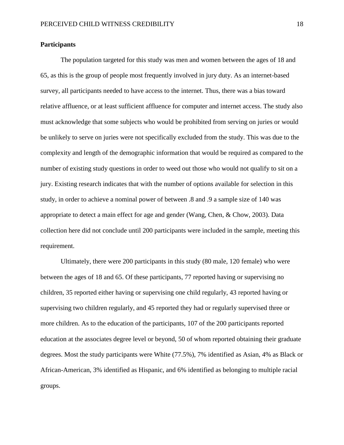#### **Participants**

The population targeted for this study was men and women between the ages of 18 and 65, as this is the group of people most frequently involved in jury duty. As an internet-based survey, all participants needed to have access to the internet. Thus, there was a bias toward relative affluence, or at least sufficient affluence for computer and internet access. The study also must acknowledge that some subjects who would be prohibited from serving on juries or would be unlikely to serve on juries were not specifically excluded from the study. This was due to the complexity and length of the demographic information that would be required as compared to the number of existing study questions in order to weed out those who would not qualify to sit on a jury. Existing research indicates that with the number of options available for selection in this study, in order to achieve a nominal power of between .8 and .9 a sample size of 140 was appropriate to detect a main effect for age and gender (Wang, Chen, & Chow, 2003). Data collection here did not conclude until 200 participants were included in the sample, meeting this requirement.

Ultimately, there were 200 participants in this study (80 male, 120 female) who were between the ages of 18 and 65. Of these participants, 77 reported having or supervising no children, 35 reported either having or supervising one child regularly, 43 reported having or supervising two children regularly, and 45 reported they had or regularly supervised three or more children. As to the education of the participants, 107 of the 200 participants reported education at the associates degree level or beyond, 50 of whom reported obtaining their graduate degrees. Most the study participants were White (77.5%), 7% identified as Asian, 4% as Black or African-American, 3% identified as Hispanic, and 6% identified as belonging to multiple racial groups.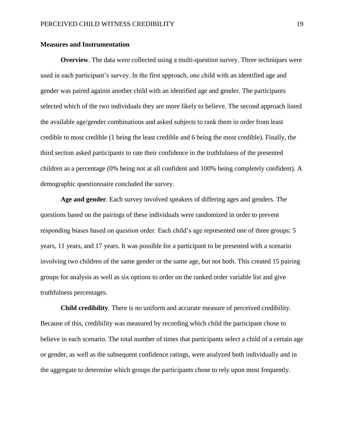#### **Measures and Instrumentation**

**Overview**. The data were collected using a multi-question survey. Three techniques were used in each participant's survey. In the first approach, one child with an identified age and gender was paired against another child with an identified age and gender. The participants selected which of the two individuals they are more likely to believe. The second approach listed the available age/gender combinations and asked subjects to rank them in order from least credible to most credible (1 being the least credible and 6 being the most credible). Finally, the third section asked participants to rate their confidence in the truthfulness of the presented children as a percentage (0% being not at all confident and 100% being completely confident). A demographic questionnaire concluded the survey.

**Age and gender***.* Each survey involved speakers of differing ages and genders. The questions based on the pairings of these individuals were randomized in order to prevent responding biases based on question order. Each child's age represented one of three groups: 5 years, 11 years, and 17 years. It was possible for a participant to be presented with a scenario involving two children of the same gender or the same age, but not both. This created 15 pairing groups for analysis as well as six options to order on the ranked order variable list and give truthfulness percentages.

**Child credibility***.* There is no uniform and accurate measure of perceived credibility. Because of this, credibility was measured by recording which child the participant chose to believe in each scenario. The total number of times that participants select a child of a certain age or gender, as well as the subsequent confidence ratings, were analyzed both individually and in the aggregate to determine which groups the participants chose to rely upon most frequently.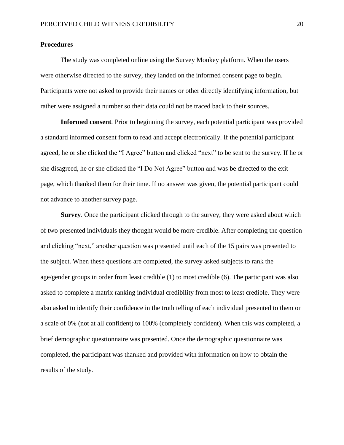## **Procedures**

The study was completed online using the Survey Monkey platform. When the users were otherwise directed to the survey, they landed on the informed consent page to begin. Participants were not asked to provide their names or other directly identifying information, but rather were assigned a number so their data could not be traced back to their sources.

**Informed consent***.* Prior to beginning the survey, each potential participant was provided a standard informed consent form to read and accept electronically. If the potential participant agreed, he or she clicked the "I Agree" button and clicked "next" to be sent to the survey. If he or she disagreed, he or she clicked the "I Do Not Agree" button and was be directed to the exit page, which thanked them for their time. If no answer was given, the potential participant could not advance to another survey page.

**Survey**. Once the participant clicked through to the survey, they were asked about which of two presented individuals they thought would be more credible. After completing the question and clicking "next," another question was presented until each of the 15 pairs was presented to the subject. When these questions are completed, the survey asked subjects to rank the age/gender groups in order from least credible (1) to most credible (6). The participant was also asked to complete a matrix ranking individual credibility from most to least credible. They were also asked to identify their confidence in the truth telling of each individual presented to them on a scale of 0% (not at all confident) to 100% (completely confident). When this was completed, a brief demographic questionnaire was presented. Once the demographic questionnaire was completed, the participant was thanked and provided with information on how to obtain the results of the study.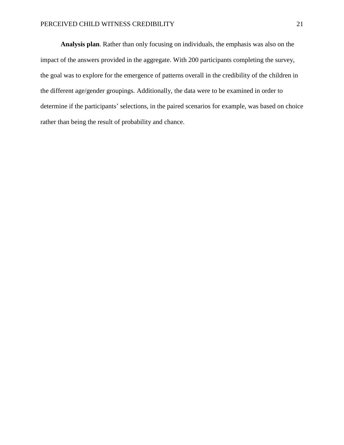**Analysis plan***.* Rather than only focusing on individuals, the emphasis was also on the impact of the answers provided in the aggregate. With 200 participants completing the survey, the goal was to explore for the emergence of patterns overall in the credibility of the children in the different age/gender groupings. Additionally, the data were to be examined in order to determine if the participants' selections, in the paired scenarios for example, was based on choice rather than being the result of probability and chance.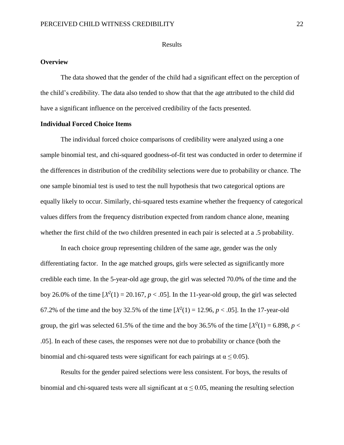#### Results

## <span id="page-27-0"></span>**Overview**

The data showed that the gender of the child had a significant effect on the perception of the child's credibility. The data also tended to show that that the age attributed to the child did have a significant influence on the perceived credibility of the facts presented.

# **Individual Forced Choice Items**

The individual forced choice comparisons of credibility were analyzed using a one sample binomial test, and chi-squared goodness-of-fit test was conducted in order to determine if the differences in distribution of the credibility selections were due to probability or chance. The one sample binomial test is used to test the null hypothesis that two categorical options are equally likely to occur. Similarly, chi-squared tests examine whether the frequency of categorical values differs from the frequency distribution expected from random chance alone, meaning whether the first child of the two children presented in each pair is selected at a .5 probability.

In each choice group representing children of the same age, gender was the only differentiating factor. In the age matched groups, girls were selected as significantly more credible each time. In the 5-year-old age group, the girl was selected 70.0% of the time and the boy 26.0% of the time  $[X^2(1) = 20.167, p < .05]$ . In the 11-year-old group, the girl was selected 67.2% of the time and the boy 32.5% of the time  $[X^2(1) = 12.96, p < .05]$ . In the 17-year-old group, the girl was selected 61.5% of the time and the boy 36.5% of the time  $[X^2(1) = 6.898, p <$ .05]. In each of these cases, the responses were not due to probability or chance (both the binomial and chi-squared tests were significant for each pairings at  $\alpha \leq 0.05$ ).

Results for the gender paired selections were less consistent. For boys, the results of binomial and chi-squared tests were all significant at  $\alpha \le 0.05$ , meaning the resulting selection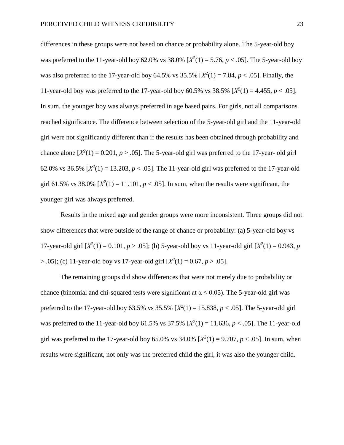differences in these groups were not based on chance or probability alone. The 5-year-old boy was preferred to the 11-year-old boy 62.0% vs  $38.0\%$  [ $X^2(1) = 5.76$ ,  $p < .05$ ]. The 5-year-old boy was also preferred to the 17-year-old boy 64.5% vs  $35.5\%$   $[X^2(1) = 7.84, p < .05]$ . Finally, the 11-year-old boy was preferred to the 17-year-old boy 60.5% vs 38.5%  $[X^2(1) = 4.455, p < .05]$ . In sum, the younger boy was always preferred in age based pairs. For girls, not all comparisons reached significance. The difference between selection of the 5-year-old girl and the 11-year-old girl were not significantly different than if the results has been obtained through probability and chance alone  $[X^2(1) = 0.201, p > .05]$ . The 5-year-old girl was preferred to the 17-year-old girl 62.0% vs 36.5%  $[X^2(1) = 13.203, p < .05]$ . The 11-year-old girl was preferred to the 17-year-old girl 61.5% vs 38.0%  $[X^2(1) = 11.101, p < .05]$ . In sum, when the results were significant, the younger girl was always preferred.

Results in the mixed age and gender groups were more inconsistent. Three groups did not show differences that were outside of the range of chance or probability: (a) 5-year-old boy vs 17-year-old girl  $[X^2(1) = 0.101, p > .05]$ ; (b) 5-year-old boy vs 11-year-old girl  $[X^2(1) = 0.943, p$  $> 0.05$ ; (c) 11-year-old boy vs 17-year-old girl  $[X^2(1) = 0.67, p > 0.05]$ .

The remaining groups did show differences that were not merely due to probability or chance (binomial and chi-squared tests were significant at  $\alpha \leq 0.05$ ). The 5-year-old girl was preferred to the 17-year-old boy 63.5% vs  $35.5\%$   $[X^2(1) = 15.838, p < .05]$ . The 5-year-old girl was preferred to the 11-year-old boy 61.5% vs  $37.5\%$   $[X^2(1) = 11.636, p < .05]$ . The 11-year-old girl was preferred to the 17-year-old boy 65.0% vs  $34.0\%$  [ $X^2(1) = 9.707$ ,  $p < .05$ ]. In sum, when results were significant, not only was the preferred child the girl, it was also the younger child.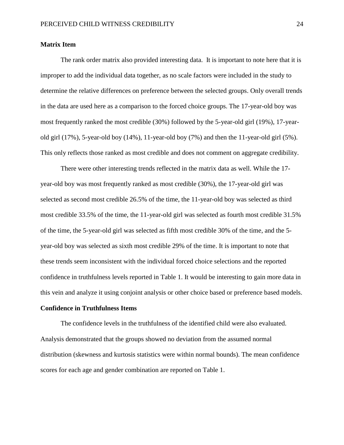#### **Matrix Item**

The rank order matrix also provided interesting data. It is important to note here that it is improper to add the individual data together, as no scale factors were included in the study to determine the relative differences on preference between the selected groups. Only overall trends in the data are used here as a comparison to the forced choice groups. The 17-year-old boy was most frequently ranked the most credible (30%) followed by the 5-year-old girl (19%), 17-yearold girl (17%), 5-year-old boy (14%), 11-year-old boy (7%) and then the 11-year-old girl (5%). This only reflects those ranked as most credible and does not comment on aggregate credibility.

There were other interesting trends reflected in the matrix data as well. While the 17 year-old boy was most frequently ranked as most credible (30%), the 17-year-old girl was selected as second most credible 26.5% of the time, the 11-year-old boy was selected as third most credible 33.5% of the time, the 11-year-old girl was selected as fourth most credible 31.5% of the time, the 5-year-old girl was selected as fifth most credible 30% of the time, and the 5 year-old boy was selected as sixth most credible 29% of the time. It is important to note that these trends seem inconsistent with the individual forced choice selections and the reported confidence in truthfulness levels reported in Table 1. It would be interesting to gain more data in this vein and analyze it using conjoint analysis or other choice based or preference based models.

#### **Confidence in Truthfulness Items**

The confidence levels in the truthfulness of the identified child were also evaluated. Analysis demonstrated that the groups showed no deviation from the assumed normal distribution (skewness and kurtosis statistics were within normal bounds). The mean confidence scores for each age and gender combination are reported on Table 1.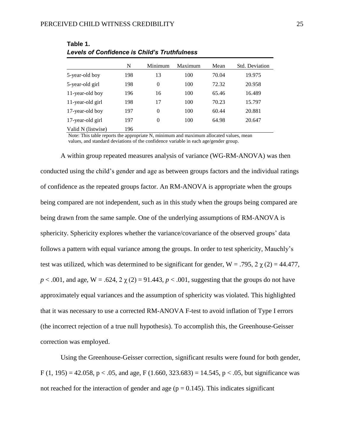|                    | N   | Minimum        | Maximum | Mean  | Std. Deviation |
|--------------------|-----|----------------|---------|-------|----------------|
| 5-year-old boy     | 198 | 13             | 100     | 70.04 | 19.975         |
| 5-year-old girl    | 198 | $\theta$       | 100     | 72.32 | 20.958         |
| 11-year-old boy    | 196 | 16             | 100     | 65.46 | 16.489         |
| 11-year-old girl   | 198 | 17             | 100     | 70.23 | 15.797         |
| 17-year-old boy    | 197 | $\overline{0}$ | 100     | 60.44 | 20.881         |
| 17-year-old girl   | 197 | $\theta$       | 100     | 64.98 | 20.647         |
| Valid N (listwise) | 196 |                |         |       |                |

**Table 1.** *Levels of Confidence is Child's Truthfulness*

Note: This table reports the appropriate N, minimum and maximum allocated values, mean values, and standard deviations of the confidence variable in each age/gender group.

A within group repeated measures analysis of variance (WG-RM-ANOVA) was then conducted using the child's gender and age as between groups factors and the individual ratings of confidence as the repeated groups factor. An RM-ANOVA is appropriate when the groups being compared are not independent, such as in this study when the groups being compared are being drawn from the same sample. One of the underlying assumptions of RM-ANOVA is sphericity. Sphericity explores whether the variance/covariance of the observed groups' data follows a pattern with equal variance among the groups. In order to test sphericity, Mauchly's test was utilized, which was determined to be significant for gender,  $W = .795, 2 \gamma(2) = 44.477$ ,  $p < .001$ , and age, W = .624, 2  $\chi$  (2) = 91.443,  $p < .001$ , suggesting that the groups do not have approximately equal variances and the assumption of sphericity was violated. This highlighted that it was necessary to use a corrected RM-ANOVA F-test to avoid inflation of Type I errors (the incorrect rejection of a true null hypothesis). To accomplish this, the Greenhouse-Geisser correction was employed.

Using the Greenhouse-Geisser correction, significant results were found for both gender, F (1, 195) = 42.058, p < .05, and age, F (1.660, 323.683) = 14.545, p < .05, but significance was not reached for the interaction of gender and age ( $p = 0.145$ ). This indicates significant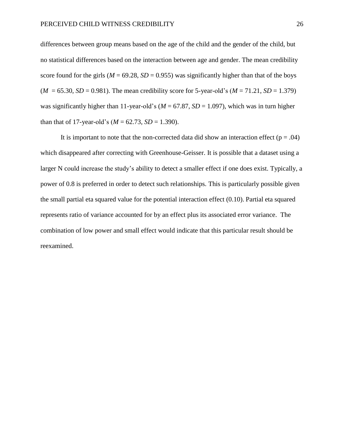differences between group means based on the age of the child and the gender of the child, but no statistical differences based on the interaction between age and gender. The mean credibility score found for the girls ( $M = 69.28$ ,  $SD = 0.955$ ) was significantly higher than that of the boys  $(M = 65.30, SD = 0.981)$ . The mean credibility score for 5-year-old's  $(M = 71.21, SD = 1.379)$ was significantly higher than 11-year-old's ( $M = 67.87$ ,  $SD = 1.097$ ), which was in turn higher than that of 17-year-old's  $(M = 62.73, SD = 1.390)$ .

It is important to note that the non-corrected data did show an interaction effect ( $p = .04$ ) which disappeared after correcting with Greenhouse-Geisser. It is possible that a dataset using a larger N could increase the study's ability to detect a smaller effect if one does exist. Typically, a power of 0.8 is preferred in order to detect such relationships. This is particularly possible given the small partial eta squared value for the potential interaction effect (0.10). Partial eta squared represents ratio of variance accounted for by an effect plus its associated error variance. The combination of low power and small effect would indicate that this particular result should be reexamined.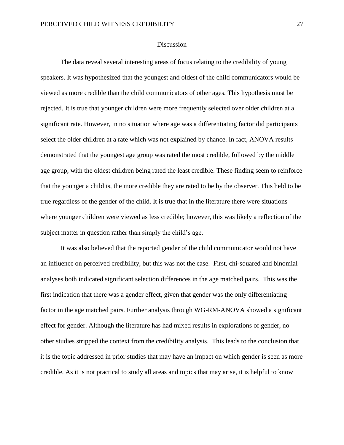#### **Discussion**

<span id="page-32-0"></span>The data reveal several interesting areas of focus relating to the credibility of young speakers. It was hypothesized that the youngest and oldest of the child communicators would be viewed as more credible than the child communicators of other ages. This hypothesis must be rejected. It is true that younger children were more frequently selected over older children at a significant rate. However, in no situation where age was a differentiating factor did participants select the older children at a rate which was not explained by chance. In fact, ANOVA results demonstrated that the youngest age group was rated the most credible, followed by the middle age group, with the oldest children being rated the least credible. These finding seem to reinforce that the younger a child is, the more credible they are rated to be by the observer. This held to be true regardless of the gender of the child. It is true that in the literature there were situations where younger children were viewed as less credible; however, this was likely a reflection of the subject matter in question rather than simply the child's age.

It was also believed that the reported gender of the child communicator would not have an influence on perceived credibility, but this was not the case. First, chi-squared and binomial analyses both indicated significant selection differences in the age matched pairs. This was the first indication that there was a gender effect, given that gender was the only differentiating factor in the age matched pairs. Further analysis through WG-RM-ANOVA showed a significant effect for gender. Although the literature has had mixed results in explorations of gender, no other studies stripped the context from the credibility analysis. This leads to the conclusion that it is the topic addressed in prior studies that may have an impact on which gender is seen as more credible. As it is not practical to study all areas and topics that may arise, it is helpful to know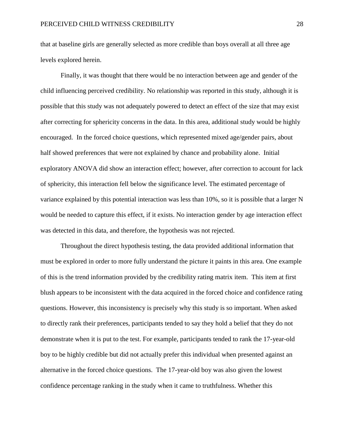that at baseline girls are generally selected as more credible than boys overall at all three age levels explored herein.

Finally, it was thought that there would be no interaction between age and gender of the child influencing perceived credibility. No relationship was reported in this study, although it is possible that this study was not adequately powered to detect an effect of the size that may exist after correcting for sphericity concerns in the data. In this area, additional study would be highly encouraged. In the forced choice questions, which represented mixed age/gender pairs, about half showed preferences that were not explained by chance and probability alone. Initial exploratory ANOVA did show an interaction effect; however, after correction to account for lack of sphericity, this interaction fell below the significance level. The estimated percentage of variance explained by this potential interaction was less than 10%, so it is possible that a larger N would be needed to capture this effect, if it exists. No interaction gender by age interaction effect was detected in this data, and therefore, the hypothesis was not rejected.

Throughout the direct hypothesis testing, the data provided additional information that must be explored in order to more fully understand the picture it paints in this area. One example of this is the trend information provided by the credibility rating matrix item. This item at first blush appears to be inconsistent with the data acquired in the forced choice and confidence rating questions. However, this inconsistency is precisely why this study is so important. When asked to directly rank their preferences, participants tended to say they hold a belief that they do not demonstrate when it is put to the test. For example, participants tended to rank the 17-year-old boy to be highly credible but did not actually prefer this individual when presented against an alternative in the forced choice questions. The 17-year-old boy was also given the lowest confidence percentage ranking in the study when it came to truthfulness. Whether this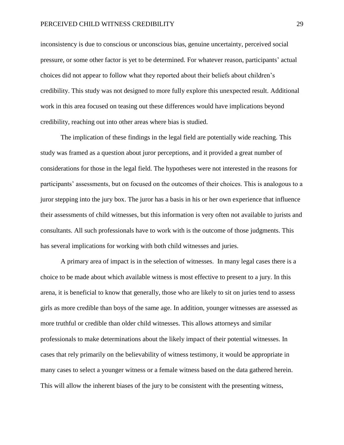inconsistency is due to conscious or unconscious bias, genuine uncertainty, perceived social pressure, or some other factor is yet to be determined. For whatever reason, participants' actual choices did not appear to follow what they reported about their beliefs about children's credibility. This study was not designed to more fully explore this unexpected result. Additional work in this area focused on teasing out these differences would have implications beyond credibility, reaching out into other areas where bias is studied.

The implication of these findings in the legal field are potentially wide reaching. This study was framed as a question about juror perceptions, and it provided a great number of considerations for those in the legal field. The hypotheses were not interested in the reasons for participants' assessments, but on focused on the outcomes of their choices. This is analogous to a juror stepping into the jury box. The juror has a basis in his or her own experience that influence their assessments of child witnesses, but this information is very often not available to jurists and consultants. All such professionals have to work with is the outcome of those judgments. This has several implications for working with both child witnesses and juries.

A primary area of impact is in the selection of witnesses. In many legal cases there is a choice to be made about which available witness is most effective to present to a jury. In this arena, it is beneficial to know that generally, those who are likely to sit on juries tend to assess girls as more credible than boys of the same age. In addition, younger witnesses are assessed as more truthful or credible than older child witnesses. This allows attorneys and similar professionals to make determinations about the likely impact of their potential witnesses. In cases that rely primarily on the believability of witness testimony, it would be appropriate in many cases to select a younger witness or a female witness based on the data gathered herein. This will allow the inherent biases of the jury to be consistent with the presenting witness,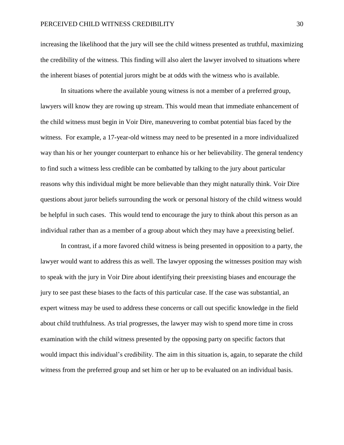increasing the likelihood that the jury will see the child witness presented as truthful, maximizing the credibility of the witness. This finding will also alert the lawyer involved to situations where the inherent biases of potential jurors might be at odds with the witness who is available.

In situations where the available young witness is not a member of a preferred group, lawyers will know they are rowing up stream. This would mean that immediate enhancement of the child witness must begin in Voir Dire, maneuvering to combat potential bias faced by the witness. For example, a 17-year-old witness may need to be presented in a more individualized way than his or her younger counterpart to enhance his or her believability. The general tendency to find such a witness less credible can be combatted by talking to the jury about particular reasons why this individual might be more believable than they might naturally think. Voir Dire questions about juror beliefs surrounding the work or personal history of the child witness would be helpful in such cases. This would tend to encourage the jury to think about this person as an individual rather than as a member of a group about which they may have a preexisting belief.

In contrast, if a more favored child witness is being presented in opposition to a party, the lawyer would want to address this as well. The lawyer opposing the witnesses position may wish to speak with the jury in Voir Dire about identifying their preexisting biases and encourage the jury to see past these biases to the facts of this particular case. If the case was substantial, an expert witness may be used to address these concerns or call out specific knowledge in the field about child truthfulness. As trial progresses, the lawyer may wish to spend more time in cross examination with the child witness presented by the opposing party on specific factors that would impact this individual's credibility. The aim in this situation is, again, to separate the child witness from the preferred group and set him or her up to be evaluated on an individual basis.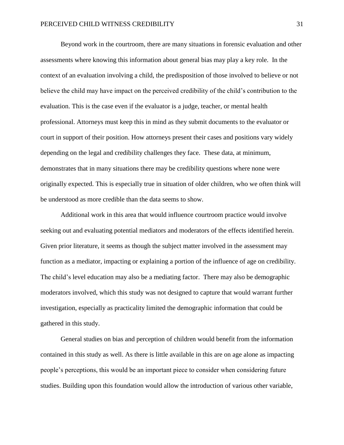Beyond work in the courtroom, there are many situations in forensic evaluation and other assessments where knowing this information about general bias may play a key role. In the context of an evaluation involving a child, the predisposition of those involved to believe or not believe the child may have impact on the perceived credibility of the child's contribution to the evaluation. This is the case even if the evaluator is a judge, teacher, or mental health professional. Attorneys must keep this in mind as they submit documents to the evaluator or court in support of their position. How attorneys present their cases and positions vary widely depending on the legal and credibility challenges they face. These data, at minimum, demonstrates that in many situations there may be credibility questions where none were originally expected. This is especially true in situation of older children, who we often think will be understood as more credible than the data seems to show.

Additional work in this area that would influence courtroom practice would involve seeking out and evaluating potential mediators and moderators of the effects identified herein. Given prior literature, it seems as though the subject matter involved in the assessment may function as a mediator, impacting or explaining a portion of the influence of age on credibility. The child's level education may also be a mediating factor. There may also be demographic moderators involved, which this study was not designed to capture that would warrant further investigation, especially as practicality limited the demographic information that could be gathered in this study.

General studies on bias and perception of children would benefit from the information contained in this study as well. As there is little available in this are on age alone as impacting people's perceptions, this would be an important piece to consider when considering future studies. Building upon this foundation would allow the introduction of various other variable,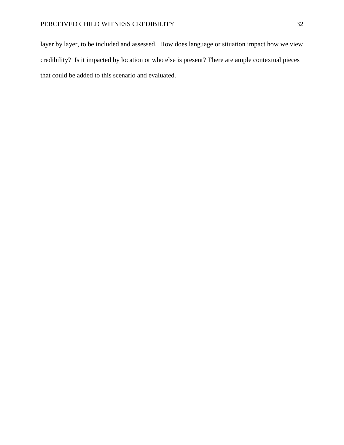layer by layer, to be included and assessed. How does language or situation impact how we view credibility? Is it impacted by location or who else is present? There are ample contextual pieces that could be added to this scenario and evaluated.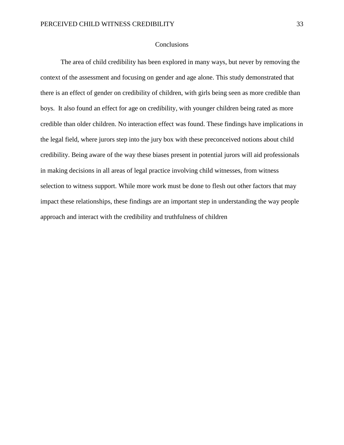#### **Conclusions**

<span id="page-38-0"></span>The area of child credibility has been explored in many ways, but never by removing the context of the assessment and focusing on gender and age alone. This study demonstrated that there is an effect of gender on credibility of children, with girls being seen as more credible than boys. It also found an effect for age on credibility, with younger children being rated as more credible than older children. No interaction effect was found. These findings have implications in the legal field, where jurors step into the jury box with these preconceived notions about child credibility. Being aware of the way these biases present in potential jurors will aid professionals in making decisions in all areas of legal practice involving child witnesses, from witness selection to witness support. While more work must be done to flesh out other factors that may impact these relationships, these findings are an important step in understanding the way people approach and interact with the credibility and truthfulness of children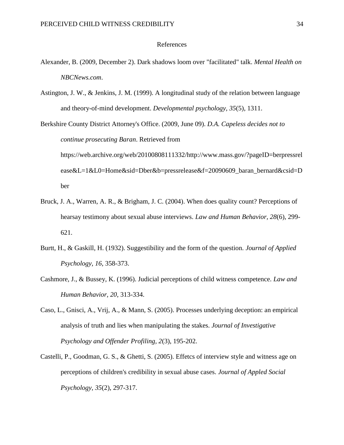#### <span id="page-39-0"></span>References

- Alexander, B. (2009, December 2). Dark shadows loom over "facilitated" talk. *Mental Health on NBCNews.com*.
- Astington, J. W., & Jenkins, J. M. (1999). A longitudinal study of the relation between language and theory-of-mind development. *Developmental psychology, 35*(5), 1311.

Berkshire County District Attorney's Office. (2009, June 09). *D.A. Capeless decides not to continue prosecuting Baran*. Retrieved from https://web.archive.org/web/20100808111332/http://www.mass.gov/?pageID=berpressrel ease&L=1&L0=Home&sid=Dber&b=pressrelease&f=20090609\_baran\_bernard&csid=D ber

- Bruck, J. A., Warren, A. R., & Brigham, J. C. (2004). When does quality count? Perceptions of hearsay testimony about sexual abuse interviews. *Law and Human Behavior, 28*(6), 299- 621.
- Burtt, H., & Gaskill, H. (1932). Suggestibility and the form of the question. *Journal of Applied Psychology, 16*, 358-373.
- Cashmore, J., & Bussey, K. (1996). Judicial perceptions of child witness competence. *Law and Human Behavior, 20*, 313-334.
- Caso, L., Gnisci, A., Vrij, A., & Mann, S. (2005). Processes underlying deception: an empirical analysis of truth and lies when manipulating the stakes. *Journal of Investigative Psychology and Offender Profiling, 2*(3), 195-202.
- Castelli, P., Goodman, G. S., & Ghetti, S. (2005). Effetcs of interview style and witness age on perceptions of children's credibility in sexual abuse cases. *Journal of Appled Social Psychology, 35*(2), 297-317.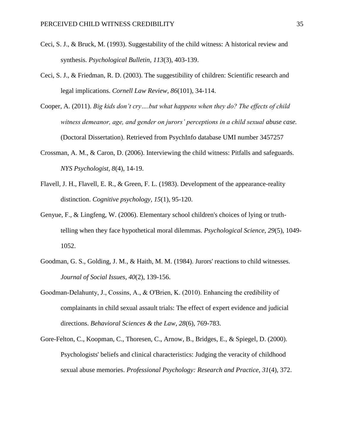- Ceci, S. J., & Bruck, M. (1993). Suggestability of the child witness: A historical review and synthesis. *Psychological Bulletin, 113*(3), 403-139.
- Ceci, S. J., & Friedman, R. D. (2003). The suggestibility of children: Scientific research and legal implications. *Cornell Law Review, 86*(101), 34-114.
- Cooper, A. (2011). *Big kids don't cry….but what happens when they do? The effects of child witness demeanor, age, and gender on jurors' perceptions in a child sexual abuse case.* (Doctoral Dissertation). Retrieved from PsychInfo database UMI number 3457257
- Crossman, A. M., & Caron, D. (2006). Interviewing the child witness: Pitfalls and safeguards. *NYS Psychologist, 8*(4), 14-19.
- Flavell, J. H., Flavell, E. R., & Green, F. L. (1983). Development of the appearance-reality distinction. *Cognitive psychology, 15*(1), 95-120.
- Genyue, F., & Lingfeng, W. (2006). Elementary school children's choices of lying or truthtelling when they face hypothetical moral dilemmas. *Psychological Science, 29*(5), 1049- 1052.
- Goodman, G. S., Golding, J. M., & Haith, M. M. (1984). Jurors' reactions to child witnesses. *Journal of Social Issues, 40*(2), 139-156.
- Goodman‐Delahunty, J., Cossins, A., & O'Brien, K. (2010). Enhancing the credibility of complainants in child sexual assault trials: The effect of expert evidence and judicial directions. *Behavioral Sciences & the Law, 28*(6), 769-783.
- Gore-Felton, C., Koopman, C., Thoresen, C., Arnow, B., Bridges, E., & Spiegel, D. (2000). Psychologists' beliefs and clinical characteristics: Judging the veracity of childhood sexual abuse memories. *Professional Psychology: Research and Practice, 31*(4), 372.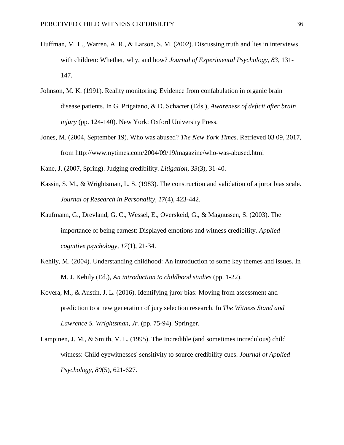- Huffman, M. L., Warren, A. R., & Larson, S. M. (2002). Discussing truth and lies in interviews with children: Whether, why, and how? *Journal of Experimental Psychology, 83*, 131- 147.
- Johnson, M. K. (1991). Reality monitoring: Evidence from confabulation in organic brain disease patients. In G. Prigatano, & D. Schacter (Eds.), *Awareness of deficit after brain injury* (pp. 124-140). New York: Oxford University Press.
- Jones, M. (2004, September 19). Who was abused? *The New York Times*. Retrieved 03 09, 2017, from http://www.nytimes.com/2004/09/19/magazine/who-was-abused.html
- Kane, J. (2007, Spring). Judging credibility. *Litigation, 33*(3), 31-40.
- Kassin, S. M., & Wrightsman, L. S. (1983). The construction and validation of a juror bias scale. *Journal of Research in Personality, 17*(4), 423-442.
- Kaufmann, G., Drevland, G. C., Wessel, E., Overskeid, G., & Magnussen, S. (2003). The importance of being earnest: Displayed emotions and witness credibility. *Applied cognitive psychology, 17*(1), 21-34.
- Kehily, M. (2004). Understanding childhood: An introduction to some key themes and issues. In M. J. Kehily (Ed.), *An introduction to childhood studies* (pp. 1-22).
- Kovera, M., & Austin, J. L. (2016). Identifying juror bias: Moving from assessment and prediction to a new generation of jury selection research. In *The Witness Stand and Lawrence S. Wrightsman, Jr.* (pp. 75-94). Springer.
- Lampinen, J. M., & Smith, V. L. (1995). The Incredible (and sometimes incredulous) child witness: Child eyewitnesses' sensitivity to source credibility cues. *Journal of Applied Psychology, 80*(5), 621-627.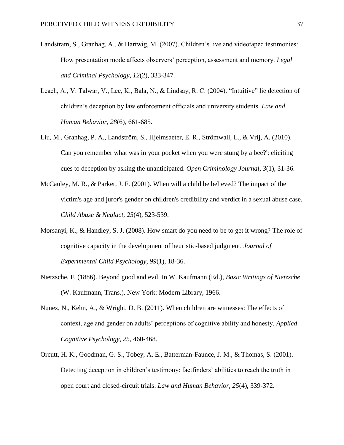- Landstram, S., Granhag, A., & Hartwig, M. (2007). Children's live and videotaped testimonies: How presentation mode affects observers' perception, assessment and memory. *Legal and Criminal Psychology, 12*(2), 333-347.
- Leach, A., V. Talwar, V., Lee, K., Bala, N., & Lindsay, R. C. (2004). "Intuitive" lie detection of children's deception by law enforcement officials and university students. *Law and Human Behavior, 28*(6), 661-685.
- Liu, M., Granhag, P. A., Landström, S., Hjelmsaeter, E. R., Strömwall, L., & Vrij, A. (2010). Can you remember what was in your pocket when you were stung by a bee?': eliciting cues to deception by asking the unanticipated. *Open Criminology Journal, 3*(1), 31-36.
- McCauley, M. R., & Parker, J. F. (2001). When will a child be believed? The impact of the victim's age and juror's gender on children's credibility and verdict in a sexual abuse case. *Child Abuse & Neglact, 25*(4), 523-539.
- Morsanyi, K., & Handley, S. J. (2008). How smart do you need to be to get it wrong? The role of cognitive capacity in the development of heuristic-based judgment. *Journal of Experimental Child Psychology, 99*(1), 18-36.
- Nietzsche, F. (1886). Beyond good and evil. In W. Kaufmann (Ed.), *Basic Writings of Nietzsche* (W. Kaufmann, Trans.). New York: Modern Library, 1966.
- Nunez, N., Kehn, A., & Wright, D. B. (2011). When children are witnesses: The effects of context, age and gender on adults' perceptions of cognitive ability and honesty. *Applied Cognitive Psychology, 25*, 460-468.
- Orcutt, H. K., Goodman, G. S., Tobey, A. E., Batterman-Faunce, J. M., & Thomas, S. (2001). Detecting deception in children's testimony: factfinders' abilities to reach the truth in open court and closed-circuit trials. *Law and Human Behavior, 25*(4), 339-372.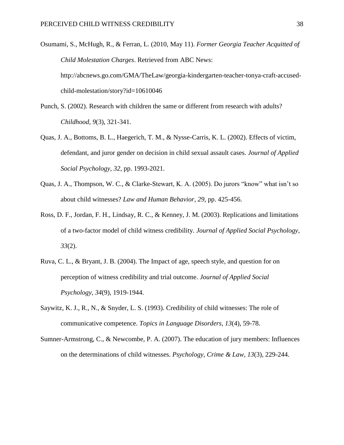Osumami, S., McHugh, R., & Ferran, L. (2010, May 11). *Former Georgia Teacher Acquitted of Child Molestation Charges*. Retrieved from ABC News: http://abcnews.go.com/GMA/TheLaw/georgia-kindergarten-teacher-tonya-craft-accusedchild-molestation/story?id=10610046

- Punch, S. (2002). Research with children the same or different from research with adults? *Childhood, 9*(3), 321-341.
- Quas, J. A., Bottoms, B. L., Haegerich, T. M., & Nysse-Carris, K. L. (2002). Effects of victim, defendant, and juror gender on decision in child sexual assault cases. *Journal of Applied Social Psychology, 32*, pp. 1993-2021.
- Quas, J. A., Thompson, W. C., & Clarke-Stewart, K. A. (2005). Do jurors "know" what isn't so about child witnesses? *Law and Human Behavior, 29*, pp. 425-456.
- Ross, D. F., Jordan, F. H., Lindsay, R. C., & Kenney, J. M. (2003). Replications and limitations of a two-factor model of child witness credibility. *Journal of Applied Social Psychology, 33*(2).
- Ruva, C. L., & Bryant, J. B. (2004). The Impact of age, speech style, and question for on perception of witness credibility and trial outcome. *Journal of Applied Social Psychology, 34*(9), 1919-1944.
- Saywitz, K. J., R., N., & Snyder, L. S. (1993). Credibility of child witnesses: The role of communicative competence. *Topics in Language Disorders, 13*(4), 59-78.
- Sumner-Armstrong, C., & Newcombe, P. A. (2007). The education of jury members: Influences on the determinations of child witnesses. *Psychology, Crime & Law, 13*(3), 229-244.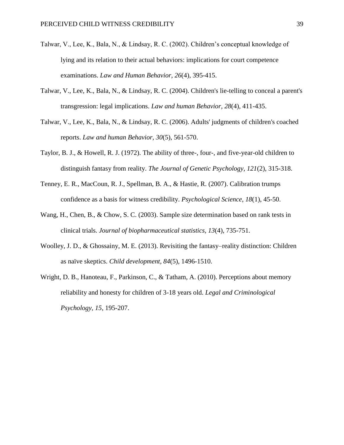- Talwar, V., Lee, K., Bala, N., & Lindsay, R. C. (2002). Children's conceptual knowledge of lying and its relation to their actual behaviors: implications for court competence examinations. *Law and Human Behavior, 26*(4), 395-415.
- Talwar, V., Lee, K., Bala, N., & Lindsay, R. C. (2004). Children's lie-telling to conceal a parent's transgression: legal implications. *Law and human Behavior, 28*(4), 411-435.
- Talwar, V., Lee, K., Bala, N., & Lindsay, R. C. (2006). Adults' judgments of children's coached reports. *Law and human Behavior, 30*(5), 561-570.
- Taylor, B. J., & Howell, R. J. (1972). The ability of three-, four-, and five-year-old children to distinguish fantasy from reality. *The Journal of Genetic Psychology, 121*(2), 315-318.
- Tenney, E. R., MacCoun, R. J., Spellman, B. A., & Hastie, R. (2007). Calibration trumps confidence as a basis for witness credibility. *Psychological Science, 18*(1), 45-50.
- Wang, H., Chen, B., & Chow, S. C. (2003). Sample size determination based on rank tests in clinical trials. *Journal of biopharmaceutical statistics, 13*(4), 735-751.
- Woolley, J. D., & Ghossainy, M. E. (2013). Revisiting the fantasy–reality distinction: Children as naïve skeptics. *Child development, 84*(5), 1496-1510.
- Wright, D. B., Hanoteau, F., Parkinson, C., & Tatham, A. (2010). Perceptions about memory reliability and honesty for children of 3-18 years old. *Legal and Criminological Psychology, 15*, 195-207.